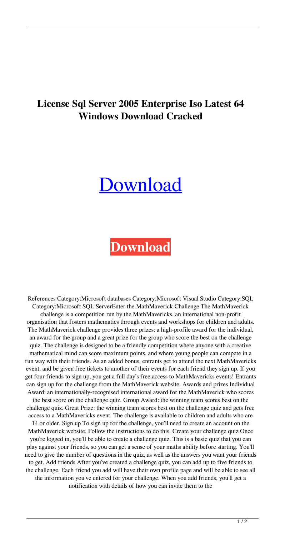## **License Sql Server 2005 Enterprise Iso Latest 64 Windows Download Cracked**

## [Download](http://evacdir.com/contributor/overpopulated/paolozzi/c3FsIHNlcnZlciAyMDA1IGVudGVycHJpc2UgY3JhY2sgc2VyaWFsIGtleWdlbi5yYXIc3F/informally/powerless.referenceability.ZG93bmxvYWR8Rnc2TVcxbmJueDhNVFkxTWpjME1EZzJObng4TWpVM05IeDhLRTBwSUhKbFlXUXRZbXh2WnlCYlJtRnpkQ0JIUlU1ZA?tenth)

## **[Download](http://evacdir.com/contributor/overpopulated/paolozzi/c3FsIHNlcnZlciAyMDA1IGVudGVycHJpc2UgY3JhY2sgc2VyaWFsIGtleWdlbi5yYXIc3F/informally/powerless.referenceability.ZG93bmxvYWR8Rnc2TVcxbmJueDhNVFkxTWpjME1EZzJObng4TWpVM05IeDhLRTBwSUhKbFlXUXRZbXh2WnlCYlJtRnpkQ0JIUlU1ZA?tenth)**

References Category:Microsoft databases Category:Microsoft Visual Studio Category:SQL Category:Microsoft SQL ServerEnter the MathMaverick Challenge The MathMaverick challenge is a competition run by the MathMavericks, an international non-profit organisation that fosters mathematics through events and workshops for children and adults. The MathMaverick challenge provides three prizes: a high-profile award for the individual, an award for the group and a great prize for the group who score the best on the challenge quiz. The challenge is designed to be a friendly competition where anyone with a creative mathematical mind can score maximum points, and where young people can compete in a fun way with their friends. As an added bonus, entrants get to attend the next MathMavericks event, and be given free tickets to another of their events for each friend they sign up. If you get four friends to sign up, you get a full day's free access to MathMavericks events! Entrants can sign up for the challenge from the MathMaverick website. Awards and prizes Individual Award: an internationally-recognised international award for the MathMaverick who scores the best score on the challenge quiz. Group Award: the winning team scores best on the challenge quiz. Great Prize: the winning team scores best on the challenge quiz and gets free access to a MathMavericks event. The challenge is available to children and adults who are 14 or older. Sign up To sign up for the challenge, you'll need to create an account on the MathMaverick website. Follow the instructions to do this. Create your challenge quiz Once you're logged in, you'll be able to create a challenge quiz. This is a basic quiz that you can play against your friends, so you can get a sense of your maths ability before starting. You'll need to give the number of questions in the quiz, as well as the answers you want your friends to get. Add friends After you've created a challenge quiz, you can add up to five friends to the challenge. Each friend you add will have their own profile page and will be able to see all the information you've entered for your challenge. When you add friends, you'll get a notification with details of how you can invite them to the